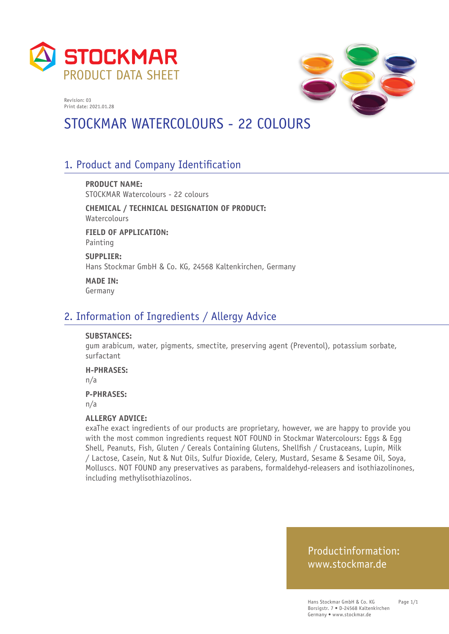



# STOCKMAR WATERCOLOURS - 22 COLOURS

### 1. Product and Company Identification

**PRODUCT NAME:** STOCKMAR Watercolours - 22 colours

**CHEMICAL / TECHNICAL DESIGNATION OF PRODUCT:** Watercolours

**FIELD OF APPLICATION:** Painting

**SUPPLIER:** Hans Stockmar GmbH & Co. KG, 24568 Kaltenkirchen, Germany

**MADE IN:** Germany

#### 2. Information of Ingredients / Allergy Advice

#### **SUBSTANCES:**

gum arabicum, water, pigments, smectite, preserving agent (Preventol), potassium sorbate, surfactant

**H-PHRASES:**

n/a

**P-PHRASES:**

n/a

#### **ALLERGY ADVICE:**

exaThe exact ingredients of our products are proprietary, however, we are happy to provide you with the most common ingredients request NOT FOUND in Stockmar Watercolours: Eggs & Egg Shell, Peanuts, Fish, Gluten / Cereals Containing Glutens, Shellfish / Crustaceans, Lupin, Milk / Lactose, Casein, Nut & Nut Oils, Sulfur Dioxide, Celery, Mustard, Sesame & Sesame Oil, Soya, Molluscs. NOT FOUND any preservatives as parabens, formaldehyd-releasers and isothiazolinones, including methylisothiazolinos.

#### Productinformation: www.stockmar.de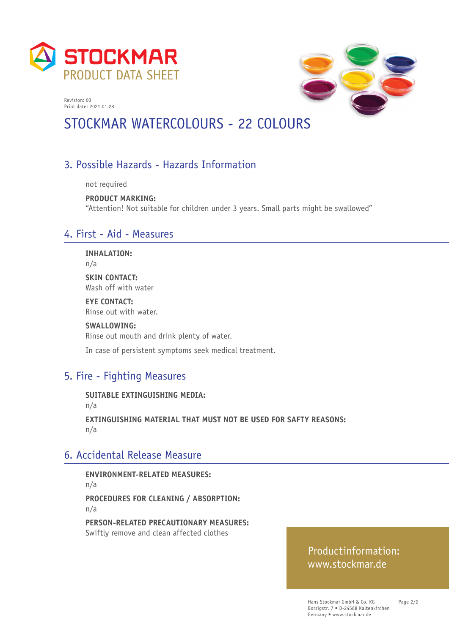



# STOCKMAR WATERCOLOURS - 22 COLOURS

## 3. Possible Hazards - Hazards Information

not required

**PRODUCT MARKING:**  "Attention! Not suitable for children under 3 years. Small parts might be swallowed"

#### 4. First - Aid - Measures

**INHALATION:**

n/a

**SKIN CONTACT:** Wash off with water

**EYE CONTACT:** Rinse out with water.

**SWALLOWING:**

Rinse out mouth and drink plenty of water.

In case of persistent symptoms seek medical treatment.

## 5. Fire - Fighting Measures

**SUITABLE EXTINGUISHING MEDIA:** 

n/a

**EXTINGUISHING MATERIAL THAT MUST NOT BE USED FOR SAFTY REASONS:**  n/a

### 6. Accidental Release Measure

**ENVIRONMENT-RELATED MEASURES:**  n/a **PROCEDURES FOR CLEANING / ABSORPTION:**  n/a

**PERSON-RELATED PRECAUTIONARY MEASURES:**  Swiftly remove and clean affected clothes

### Productinformation: www.stockmar.de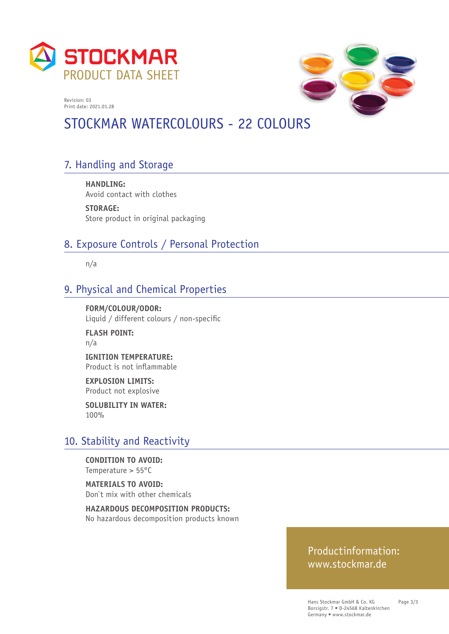



# STOCKMAR WATERCOLOURS - 22 COLOURS

# 7. Handling and Storage

**HANDLING:**  Avoid contact with clothes

**STORAGE:**  Store product in original packaging

### 8. Exposure Controls / Personal Protection

n/a

### 9. Physical and Chemical Properties

**FORM/COLOUR/ODOR:**  Liquid / different colours / non-specific

**FLASH POINT:**  n/a

**IGNITION TEMPERATURE:**  Product is not inflammable

**EXPLOSION LIMITS:**  Product not explosive

**SOLUBILITY IN WATER:**  100%

### 10. Stability and Reactivity

**CONDITION TO AVOID:**  Temperature > 55°C

**MATERIALS TO AVOID:**  Don`t mix with other chemicals

**HAZARDOUS DECOMPOSITION PRODUCTS:**  No hazardous decomposition products known

#### Productinformation: www.stockmar.de

Hans Stockmar GmbH & Co. KG Borsigstr. 7 • D-24568 Kaltenkirchen Germany • www.stockmar.de

Page 3/3